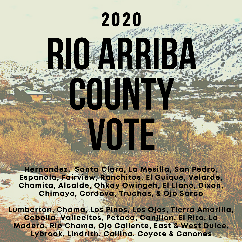#### Hernandez, Santa Clara, La Mesilla, San Pedro, Espanola, Fairview, Ranchitos, El Guique, Velarde, Chamita, Alcalde, Ohkay Owingeh, El Llano, Dixon, Chimayo, Cordova, Truchas, & Ojo Sarco

vote de

Rio ARRISO

**2020**

countY

Lumberton, Chama, Los Pinos, Los Ojos, Tierra Amarilla, Cebolla, Vallecitos, Petaca, Canjilon, El Rito, La Madera, Rio Chama, Ojo Caliente, East & West Dulce, Lybrook, Lindrith, Gallina, Coyote & Canones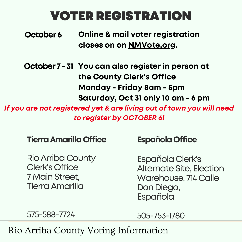## VOTERREGISTRATION

Online & mail voter registration closes on on NMVote.org. October 6

October 7 - 31 You can also register in person at the County Clerk's Office Monday - Friday 8am - 5pm Saturday, Oct 31 only 10 am - 6 pm

If you are not registered yet & are living out of town you will need to register by OCTOBER 6!

**Tierra Amarilla Office** 

**Rio Arriba County** Clerk's Office 7MainStreet, TierraAmarilla

#### **Española Office**

Española Clerk's Alternate Site, Election Warehouse, 714 Calle Don Diego, Española

575-588-7724

505-753-1780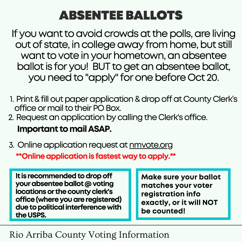## ABSENTEE BALLOTS

If you want to avoid crowds at the polls, are living out of state, in college away from home, but still want to vote in your hometown, an absentee ballot is for you! BUT to get an absentee ballot, you need to "apply" for one before Oct 20.

- 1. Print & fill out paper application & drop off at County Clerk's office or mail to their PO Box.
- 2. Request an application by calling the Clerk's office.

Important tomailASAP.

3. Online application request at <u>nmvote.org</u> \*\*Online application is fastest way to apply.\*\*

It is recommended to drop off your absentee ballot @ voting locations or the county clerk's office (where you are registered) due to political interference with the USPS.

Make sure your ballot matches your voter registration info exactly, or it will NOT be counted!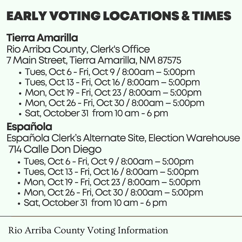## TierraAmarilla

Rio Arriba County, Clerk's Office 7 Main Street, Tierra Amarilla, NM 87575

- Tues, Oct 6 Fri, Oct 9 / 8:00am 5:00pm
- Tues, Oct 13 Fri, Oct 16 / 8:00am 5:00pm
- Mon, Oct 19 Fri, Oct 23 / 8:00am 5:00pm
- Mon, Oct 26 Fri, Oct 30 / 8:00am 5:00pm
- Sat, October 31 from 10 am 6 pm

## Española

Española Clerk's Alternate Site, Election Warehouse 714CalleDonDiego

- Tues, Oct 6 Fri, Oct 9 / 8:00am 5:00pm
- Tues, Oct 13 Fri, Oct 16 / 8:00am 5:00pm
- Mon, Oct 19 Fri, Oct 23 / 8:00am 5:00pm
- Mon, Oct 26 Fri, Oct 30 / 8:00am 5:00pm
- Sat, October 31 from 10 am 6 pm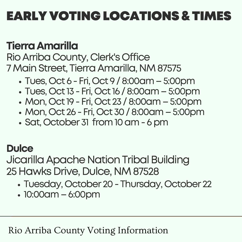### TierraAmarilla

Rio Arriba County, Clerk's Office 7 Main Street, Tierra Amarilla, NM 87575

- Tues, Oct 6 Fri, Oct 9 / 8:00am 5:00pm
- Tues, Oct 13 Fri, Oct 16 / 8:00am 5:00pm
- Mon, Oct 19 Fri, Oct 23 / 8:00am 5:00pm
- Mon, Oct 26 Fri, Oct 30 / 8:00am 5:00pm
- Sat, October 31 from 10 am 6 pm

#### **Dulce**

Jicarilla Apache Nation Tribal Building 25 Hawks Drive, Dulce, NM 87528

- Tuesday, October 20- Thursday, October 22
- 10:00am 6:00pm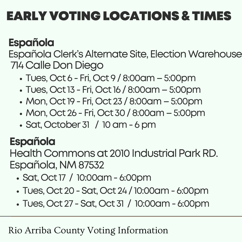## Española

Española Clerk's Alternate Site, Election Warehouse 714CalleDonDiego

- Tues, Oct 6 Fri, Oct 9 / 8:00am 5:00pm
- Tues, Oct 13 Fri, Oct 16 / 8:00am 5:00pm
- Mon, Oct 19 Fri, Oct 23 / 8:00am 5:00pm
- Mon, Oct 26 Fri, Oct 30 / 8:00am 5:00pm
- $\cdot$  Sat, October 31 / 10 am  $-6$  pm

## Española

Health Commons at 2010 Industrial Park RD. Española, NM 87532

- Sat, Oct17 / 10:00am- 6:00pm
- Tues, Oct 20-Sat, Oct 24 / 10:00am- 6:00pm
- Tues, Oct 27 Sat, Oct 31 / 10:00am 6:00pm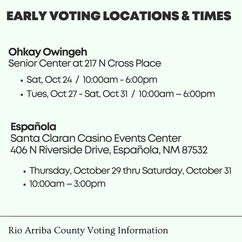### OhkayOwingeh Senior Center at 217 N Cross Place

- Sat, Oct 24 / 10:00am- 6:00pm
- Tues, Oct 27 Sat, Oct 31 / 10:00am 6:00pm

### Española

Santa Claran Casino Events Center 406 N Riverside Drive, Española, NM 87532

- Thursday, October 29 thru Saturday, October 31
- 10:00am–3:00pm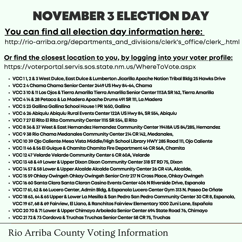# NOVEMBER3 ELECTION DAY

#### You can find all election day information here:

http://rio-arriba.org/departments\_and\_divisions/clerk's\_office/clerk\_.html

#### Or find the closest location to you, by logging into your voter profile:

https://voterportal.servis.sos.state.nm.us/WhereToVote.aspx

- VCC11, 2 & 3 West Dulce, East Dulce & Lumberton Jicarilla Apache Nation Tribal Bldg 25 Hawks Drive
- VCC 2 4 Chama Chama Senior Center 2449 US Hwy 84-64, Chama
- VCC 310 & 11 Los Ojos & Tierra Amarilla Tierra Amarilla Senior Center 1113A SR 162, Tierra Amarilla
- VCC 414 & 28 Petaca & La Madera Apache Drums 491 SR 111, La Madera
- VCC 523 Gallina Gallina School House 1 PR 1650, Gallina
- VCC 626 Abiquiu Abiquiu Rural Events Center 122AUS Hwy 84, SR 554, Abiquiu
- VCC 7 27 El Rito El Rito Community Center 1115 SR 554, El Rito
- VCC 8 36 & 37 West & East Hernandez Hernandez Community Center 19418A US 84/285, Hernandez
- VCC 938 Rio Chama Medanales Community Center 214 CR 142, Medanales,
- VCC 1039 Ojo Caliente Mesa Vista Middle/High School Library HWY 285 Road 111, Ojo Caliente
- VCC 1146 & 56 El Guique & Chamita Chamita Fire Department 46 CR 56A, Chamita
- VCC 1247 Velarde Velarde Community Center 6 CR 60A, Velarde
- VCC 1348 & 49 Lower & Upper Dixon Dixon Community Center 318 ST RD 75, Dixon
- VCC 1457 & 58 Lower & Upper Alcalde Alcalde Community Center 26 CR 41A, Alcalde,
- VCC 1559 Ohkay Owingeh Ohkay Owingeh Senior Cntr 217 N Cross Place, Ohkay Owingeh
- VCC 1660 Santa Clara Santa Claran Casino Events Center 406 N Riverside Drive, Espanola
- · VCC 17 61, 62 & 66 Lucero Center, Admin Bldg, & Espanola Lucero Center Gym 313 N. Paseo De Oñate
- VCC1863,64&65Upper&LowerLaMesilla&SanPedroSanPedroCommunityCenter30CR8,Espanola, VCC1967,68&69Fairview,ElLlano,&RanchitosFairviewElementary1000ZuniLane,Española
- VCC 20 70 & 71 Lower & Upper Chimayo Arboleda Senior Center 694 State Road 76, Chimayo
- VCC 21 72 & 73 Cordova & Truchas Truchas Senior Center 58 CR 75, Truchas